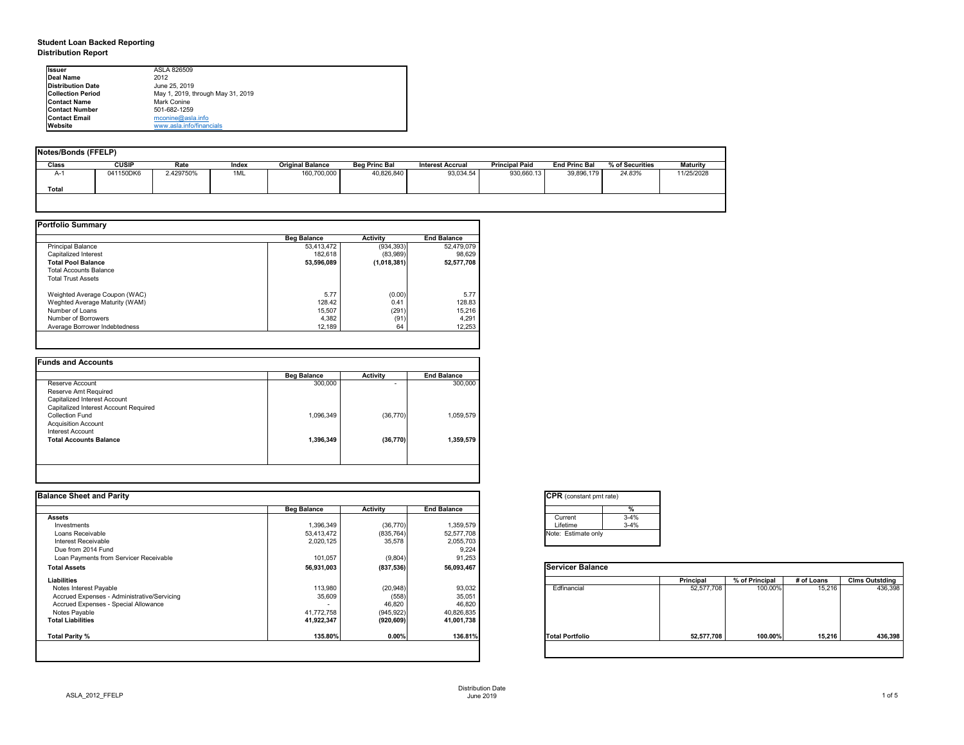## **Student Loan Backed Reporting Distribution Report**

| Notes/Bonds (FFELP) |              |           |       |                         |                      |                         |                       |                      |                 |                 |
|---------------------|--------------|-----------|-------|-------------------------|----------------------|-------------------------|-----------------------|----------------------|-----------------|-----------------|
| Class               | <b>CUSIP</b> | Rate      | Index | <b>Original Balance</b> | <b>Beg Princ Bal</b> | <b>Interest Accrual</b> | <b>Principal Paid</b> | <b>End Princ Bal</b> | % of Securities | <b>Maturity</b> |
| A-1                 | 041150DK6    | 2.429750% | 1ML   | 160,700,000             | 40,826,840           | 93,034.54               | 930,660.13            | 39,896,179           | 24.83%          | 11/25/2028      |
| <b>Total</b>        |              |           |       |                         |                      |                         |                       |                      |                 |                 |
|                     |              |           |       |                         |                      |                         |                       |                      |                 |                 |

|                                | <b>Beg Balance</b> | <b>Activity</b> | <b>End Balance</b> |
|--------------------------------|--------------------|-----------------|--------------------|
| <b>Principal Balance</b>       | 53,413,472         | (934, 393)      | 52,479,079         |
| <b>Capitalized Interest</b>    | 182,618            | (83,989)        | 98,629             |
| <b>Total Pool Balance</b>      | 53,596,089         | (1,018,381)     | 52,577,708         |
| <b>Total Accounts Balance</b>  |                    |                 |                    |
| <b>Total Trust Assets</b>      |                    |                 |                    |
| Weighted Average Coupon (WAC)  | 5.77               | (0.00)          | 5.77               |
| Weghted Average Maturity (WAM) | 128.42             | 0.41            | 128.83             |
| Number of Loans                | 15,507             | (291)           | 15,216             |
| Number of Borrowers            | 4,382              | (91)            | 4,291              |
| Average Borrower Indebtedness  | 12,189             | 64              | 12,253             |

| 300,000   |           |           |
|-----------|-----------|-----------|
|           | -         | 300,000   |
|           |           |           |
|           |           |           |
|           |           |           |
| 1,096,349 | (36, 770) | 1,059,579 |
|           |           |           |
|           |           |           |
| 1,396,349 | (36, 770) | 1,359,579 |
|           |           |           |
|           |           |           |

| tant pmt rate) |          |
|----------------|----------|
|                |          |
|                | $\%$     |
|                | $3 - 4%$ |
|                | $3 - 4%$ |
| ate only       |          |
|                |          |

| Balance |                  |                |            |                       |
|---------|------------------|----------------|------------|-----------------------|
|         | <b>Principal</b> | % of Principal | # of Loans | <b>Clms Outstding</b> |
| al      | 52,577,708       | 100.00%        | 15,216     | 436,398               |
| oilc    | 52,577,708       | 100.00%        | 15,216     | 436,398               |
|         |                  |                |            |                       |

| <b>Ilssuer</b>            | ASLA 826509                       |
|---------------------------|-----------------------------------|
| <b>IDeal Name</b>         | 2012                              |
| <b>IDistribution Date</b> | June 25, 2019                     |
| <b>Collection Period</b>  | May 1, 2019, through May 31, 2019 |
| <b>IContact Name</b>      | <b>Mark Conine</b>                |
| <b>IContact Number</b>    | 501-682-1259                      |
| <b>Contact Email</b>      | mconine@asla.info                 |
| <b>IWebsite</b>           | www.asla.info/financials          |

|                    |                   |                                                         | <b>CPR</b> (constant pmt rate)                    |                  |                |            |                       |
|--------------------|-------------------|---------------------------------------------------------|---------------------------------------------------|------------------|----------------|------------|-----------------------|
| <b>Beg Balance</b> | <b>Activity</b>   | <b>End Balance</b>                                      |                                                   |                  |                |            |                       |
|                    |                   |                                                         | $3 - 4%$<br>Current                               |                  |                |            |                       |
| 1,396,349          |                   | 1,359,579                                               | $3 - 4%$<br>Lifetime                              |                  |                |            |                       |
| 53,413,472         | (835, 764)        | 52,577,708                                              | Note: Estimate only                               |                  |                |            |                       |
| 2,020,125          | 35,578            | 2,055,703                                               |                                                   |                  |                |            |                       |
|                    |                   |                                                         |                                                   |                  |                |            |                       |
| 101,057            | (9,804)           | 91,253                                                  |                                                   |                  |                |            |                       |
| 56,931,003         | (837, 536)        | 56,093,467                                              | <b>Servicer Balance</b>                           |                  |                |            |                       |
|                    |                   |                                                         |                                                   | <b>Principal</b> | % of Principal | # of Loans | <b>Clms Outstding</b> |
|                    |                   |                                                         | Edfinancial                                       |                  |                |            | 436,398               |
|                    |                   |                                                         |                                                   |                  |                |            |                       |
| $\blacksquare$     |                   |                                                         |                                                   |                  |                |            |                       |
| 41,772,758         |                   |                                                         |                                                   |                  |                |            |                       |
| 41,922,347         | (920, 609)        | 41,001,738                                              |                                                   |                  |                |            |                       |
| 135.80%            | 0.00%             | 136.81%                                                 | <b>Total Portfolio</b>                            | 52,577,708       | 100.00%        | 15,216     | 436,398               |
|                    | 113,980<br>35,609 | (36, 770)<br>(20, 948)<br>(558)<br>46,820<br>(945, 922) | 9,224<br>93,032<br>35,051<br>46,820<br>40,826,835 |                  | 52,577,708     | 100.00%    | 15,216                |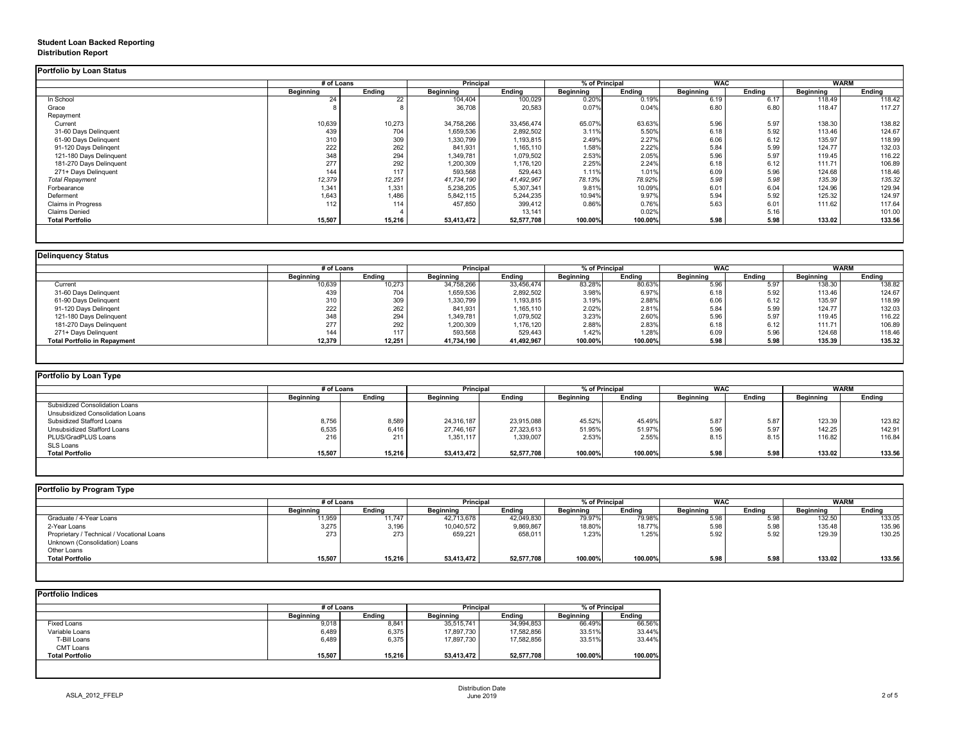## **Student Loan Backed Reporting Distribution Report**

|                           | # of Loans       |               | <b>Principal</b> |               | % of Principal   |               | <b>WAC</b>       |               | <b>WARM</b>      |               |
|---------------------------|------------------|---------------|------------------|---------------|------------------|---------------|------------------|---------------|------------------|---------------|
|                           | <b>Beginning</b> | <b>Ending</b> | <b>Beginning</b> | <b>Ending</b> | <b>Beginning</b> | <b>Ending</b> | <b>Beginning</b> | <b>Ending</b> | <b>Beginning</b> | <b>Ending</b> |
| In School                 | 24               | 22            | 104,404          | 100,029       | 0.20%            | 0.19%         | 6.19             | 6.17          | 118.49           | 118.42        |
| Grace                     |                  |               | 36,708           | 20,583        | 0.07%            | 0.04%         | 6.80             | 6.80          | 118.47           | 117.27        |
| Repayment                 |                  |               |                  |               |                  |               |                  |               |                  |               |
| Current                   | 10,639           | 10,273        | 34,758,266       | 33,456,474    | 65.07%           | 63.63%        | 5.96             | 5.97          | 138.30           | 138.82        |
| 31-60 Days Delinquent     | 439              | 704           | 1,659,536        | 2,892,502     | 3.11%            | 5.50%         | 6.18             | 5.92          | 113.46           | 124.67        |
| 61-90 Days Delinquent     | 310              | 309           | 1,330,799        | 1,193,815     | 2.49%            | 2.27%         | 6.06             | 6.12          | 135.97           | 118.99        |
| 91-120 Days Delingent     | 222              | 262           | 841,931          | 1,165,110     | 1.58%            | 2.22%         | 5.84             | 5.99          | 124.77           | 132.03        |
| 121-180 Days Delinquent   | 348              | 294           | 1,349,781        | 1,079,502     | 2.53%            | 2.05%         | 5.96             | 5.97          | 119.45           | 116.22        |
| 181-270 Days Delinquent   | 277              | 292           | 1,200,309        | 1,176,120     | 2.25%            | 2.24%         | 6.18             | 6.12          | 111.71           | 106.89        |
| 271+ Days Delinquent      | 144              | 117           | 593,568          | 529,443       | 1.11%            | 1.01%         | 6.09             | 5.96          | 124.68           | 118.46        |
| <b>Total Repayment</b>    | 12,379           | 12,251        | 41,734,190       | 41,492,967    | 78.13%           | 78.92%        | 5.98             | 5.98          | 135.39           | 135.32        |
| Forbearance               | 1,341            | 1,331         | 5,238,205        | 5,307,341     | 9.81%            | 10.09%        | 6.01             | 6.04          | 124.96           | 129.94        |
| Deferment                 | 1,643            | 1,486         | 5,842,115        | 5,244,235     | 10.94%           | 9.97%         | 5.94             | 5.92          | 125.32           | 124.97        |
| <b>Claims in Progress</b> | 112              | 114           | 457,850          | 399,412       | 0.86%            | 0.76%         | 5.63             | 6.01          | 111.62           | 117.64        |
| <b>Claims Denied</b>      |                  |               |                  | 13,141        |                  | 0.02%         |                  | 5.16          |                  | 101.00        |
| <b>Total Portfolio</b>    | 15,507           | 15,216        | 53,413,472       | 52,577,708    | 100.00%          | 100.00%       | 5.98             | 5.98          | 133.02           | 133.56        |

|                                     | # of Loans       |               | <b>Principal</b> |               | % of Principal   |               | <b>WAC</b>       |        | <b>WARM</b>      |        |
|-------------------------------------|------------------|---------------|------------------|---------------|------------------|---------------|------------------|--------|------------------|--------|
|                                     | <b>Beginning</b> | <b>Ending</b> | <b>Beginning</b> | <b>Ending</b> | <b>Beginning</b> | <b>Ending</b> | <b>Beginning</b> | Ending | <b>Beginning</b> | Ending |
| Current                             | 10,639           | 10,273        | 34,758,266       | 33,456,474    | 83.28%           | 80.63%        | 5.96             | 5.97   | 138.30           | 138.82 |
| 31-60 Days Delinquent               | 439              | 704           | 1,659,536        | 2,892,502     | 3.98%            | 6.97%         | 6.18             | 5.92   | 113.46           | 124.67 |
| 61-90 Days Delinquent               | 310              | 309           | 1,330,799        | 1,193,815     | 3.19%            | 2.88%         | 6.06             | 6.12   | 135.97           | 118.99 |
| 91-120 Days Delinqent               | 222              | 262           | 841,931          | 1,165,110     | 2.02%            | 2.81%         | 5.84             | 5.99   | 124.77           | 132.03 |
| 121-180 Days Delinquent             | 348              | 294           | 349,781,         | 1,079,502     | 3.23%            | 2.60%         | 5.96             | 5.97   | 119.45           | 116.22 |
| 181-270 Days Delinquent             | 277              | 292           | 1,200,309        | 1,176,120     | 2.88%            | 2.83%         | 6.18             | 6.12   | 111.71           | 106.89 |
| 271+ Days Delinquent                | 144              | 117           | 593,568          | 529,443       | 1.42%            | 1.28%         | 6.09             | 5.96   | 124.68           | 118.46 |
| <b>Total Portfolio in Repayment</b> | 12,379           | 12,251        | 41,734,190       | 41,492,967    | 100.00%          | 100.00%       | 5.98             | 5.98   | 135.39           | 135.32 |

|                  |               |                  |               |                  |               |                  |               | <b>WARM</b>      |               |
|------------------|---------------|------------------|---------------|------------------|---------------|------------------|---------------|------------------|---------------|
| <b>Beginning</b> | <b>Ending</b> | <b>Beginning</b> | <b>Ending</b> | <b>Beginning</b> | <b>Ending</b> | <b>Beginning</b> | <b>Ending</b> | <b>Beginning</b> | <b>Ending</b> |
|                  |               |                  |               |                  |               |                  |               |                  |               |
|                  |               |                  |               |                  |               |                  |               |                  |               |
| 8,756            | 8,589         | 24,316,187       | 23,915,088    | 45.52%           | 45.49%        | 5.87             | 5.87          | 123.39           | 123.82        |
| 6,535            | 6,416         | 27,746,167       | 27,323,613    | 51.95%           | 51.97%        | 5.96             | 5.97          | 142.25           | 142.91        |
| 216              | 211           | 1,351,117        | 1,339,007     | 2.53%            | 2.55%         | 8.15             | 8.15          | 116.82           | 116.84        |
|                  |               |                  |               |                  |               |                  |               |                  |               |
| 15,507           | 15,216        | 53,413,472       | 52,577,708    | 100.00%          | 100.00%       | 5.98             | 5.98          | 133.02           | 133.56        |
|                  |               | # of Loans       |               | <b>Principal</b> |               | % of Principal   |               | <b>WAC</b>       |               |

| <b>Portfolio by Program Type</b>           |                  |               |                  |               |                  |               |                  |               |                  |               |
|--------------------------------------------|------------------|---------------|------------------|---------------|------------------|---------------|------------------|---------------|------------------|---------------|
|                                            | # of Loans       |               | <b>Principal</b> |               | % of Principal   |               | <b>WAC</b>       |               | <b>WARM</b>      |               |
|                                            | <b>Beginning</b> | <b>Ending</b> | <b>Beginning</b> | <b>Ending</b> | <b>Beginning</b> | <b>Ending</b> | <b>Beginning</b> | <b>Ending</b> | <b>Beginning</b> | <b>Ending</b> |
| Graduate / 4-Year Loans                    | 11,959           | 11,747        | 42,713,678       | 42,049,830    | 79.97%           | 79.98%        | 5.98             | 5.98          | 132.50           | 133.05        |
| 2-Year Loans                               | 3,275            | 3,196         | 10,040,572       | 9,869,867     | 18.80%           | 18.77%        | 5.98             | 5.98          | 135.48           | 135.96        |
| Proprietary / Technical / Vocational Loans | 273              | 273           | 659,221          | 658,011       | 1.23%            | 1.25%         | 5.92             | 5.92          | 129.39           | 130.25        |
| Unknown (Consolidation) Loans              |                  |               |                  |               |                  |               |                  |               |                  |               |
| Other Loans                                |                  |               |                  |               |                  |               |                  |               |                  |               |
| <b>Total Portfolio</b>                     | 15,507           | 15,216        | 53,413,472       | 52,577,708    | 100.00%          | 100.00%       | 5.98             | 5.98          | 133.02           | 133.56        |
|                                            |                  |               |                  |               |                  |               |                  |               |                  |               |

|                        | # of Loans       |               | <b>Principal</b> |               | % of Principal   |               |
|------------------------|------------------|---------------|------------------|---------------|------------------|---------------|
|                        | <b>Beginning</b> | <b>Ending</b> | <b>Beginning</b> | <b>Ending</b> | <b>Beginning</b> | <b>Ending</b> |
| <b>Fixed Loans</b>     | 9,018            | 8,841         | 35,515,741       | 34,994,853    | 66.49%           | 66.56%        |
| Variable Loans         | 6,489            | 6,375         | 17,897,730       | 17,582,856    | 33.51%           | 33.44%        |
| T-Bill Loans           | 6,489            | 6,375         | 17,897,730       | 17,582,856    | 33.51%           | 33.44%        |
| <b>CMT Loans</b>       |                  |               |                  |               |                  |               |
| <b>Total Portfolio</b> | 15,507           | 15,216        | 53,413,472       | 52,577,708    | 100.00%          | 100.00%       |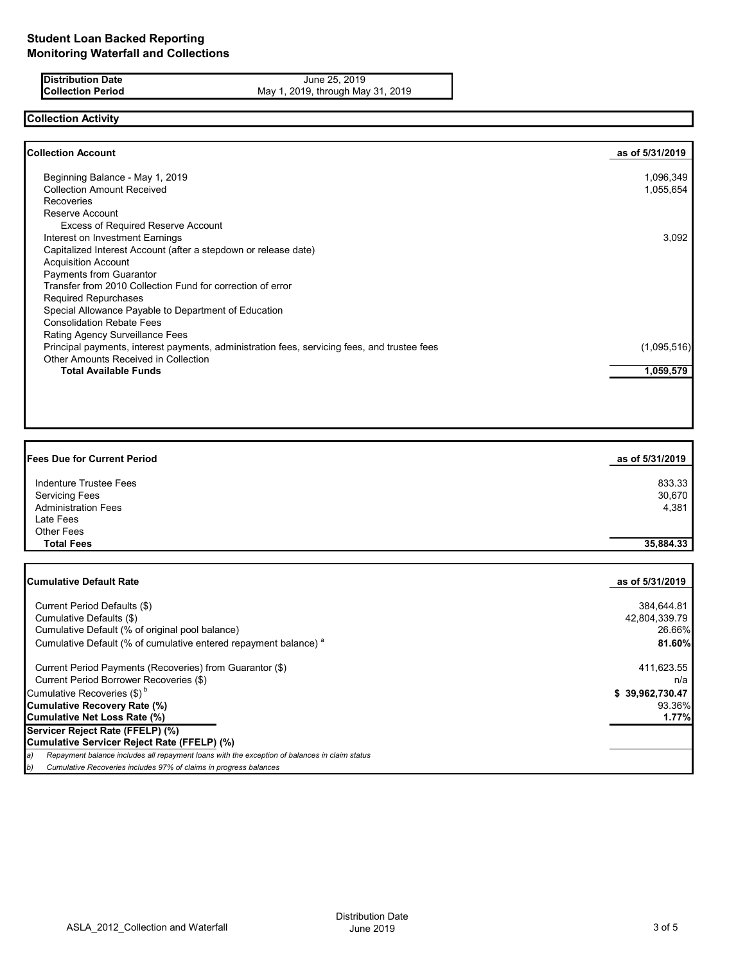**Distribution Date** June 25, 2019<br>**Collection Period** May 1, 2019, through May 1, 2019 May 1, 2019, through May 31, 2019

# **Collection Activity**

| <b>Collection Account</b>                                                                    | as of 5/31/2019 |
|----------------------------------------------------------------------------------------------|-----------------|
| Beginning Balance - May 1, 2019                                                              | 1,096,349       |
| <b>Collection Amount Received</b>                                                            | 1,055,654       |
| <b>Recoveries</b>                                                                            |                 |
| Reserve Account                                                                              |                 |
| <b>Excess of Required Reserve Account</b>                                                    |                 |
| Interest on Investment Earnings                                                              | 3,092           |
| Capitalized Interest Account (after a stepdown or release date)                              |                 |
| <b>Acquisition Account</b>                                                                   |                 |
| Payments from Guarantor                                                                      |                 |
| Transfer from 2010 Collection Fund for correction of error                                   |                 |
| <b>Required Repurchases</b>                                                                  |                 |
| Special Allowance Payable to Department of Education                                         |                 |
| <b>Consolidation Rebate Fees</b>                                                             |                 |
| <b>Rating Agency Surveillance Fees</b>                                                       |                 |
| Principal payments, interest payments, administration fees, servicing fees, and trustee fees | (1,095,516)     |
| <b>Other Amounts Received in Collection</b>                                                  |                 |
| <b>Total Available Funds</b>                                                                 | 1,059,579       |
|                                                                                              |                 |

| <b>Fees Due for Current Period</b> | as of 5/31/2019 |
|------------------------------------|-----------------|
| Indenture Trustee Fees             | 833.33          |
| <b>Servicing Fees</b>              | 30,670          |
| <b>Administration Fees</b>         | 4,381           |
| Late Fees                          |                 |
| <b>Other Fees</b>                  |                 |
| <b>Total Fees</b>                  | 35,884.33       |
|                                    |                 |
| <b>Cumulative Default Rate</b>     | as of 5/31/2019 |
| Current Period Defaults (\$)       | 384,644.81      |
| Cumulative Defaults (\$)           | 42,804,339.79   |

| <b>U</b> diffuldered Dolladito (W)                                                                  | 74,007,000 <i>.1</i> |
|-----------------------------------------------------------------------------------------------------|----------------------|
| Cumulative Default (% of original pool balance)                                                     | 26.66%               |
| Cumulative Default (% of cumulative entered repayment balance) <sup>a</sup>                         | 81.60%               |
| Current Period Payments (Recoveries) from Guarantor (\$)                                            | 411,623.55           |
| Current Period Borrower Recoveries (\$)                                                             | n/a                  |
| Cumulative Recoveries (\$) <sup>b</sup>                                                             | \$39,962,730.47      |
| Cumulative Recovery Rate (%)                                                                        | 93.36%               |
| Cumulative Net Loss Rate (%)                                                                        | 1.77%                |
| Servicer Reject Rate (FFELP) (%)                                                                    |                      |
| Cumulative Servicer Reject Rate (FFELP) (%)                                                         |                      |
| Repayment balance includes all repayment loans with the exception of balances in claim status<br>a) |                      |
| Cumulative Recoveries includes 97% of claims in progress balances<br>D)                             |                      |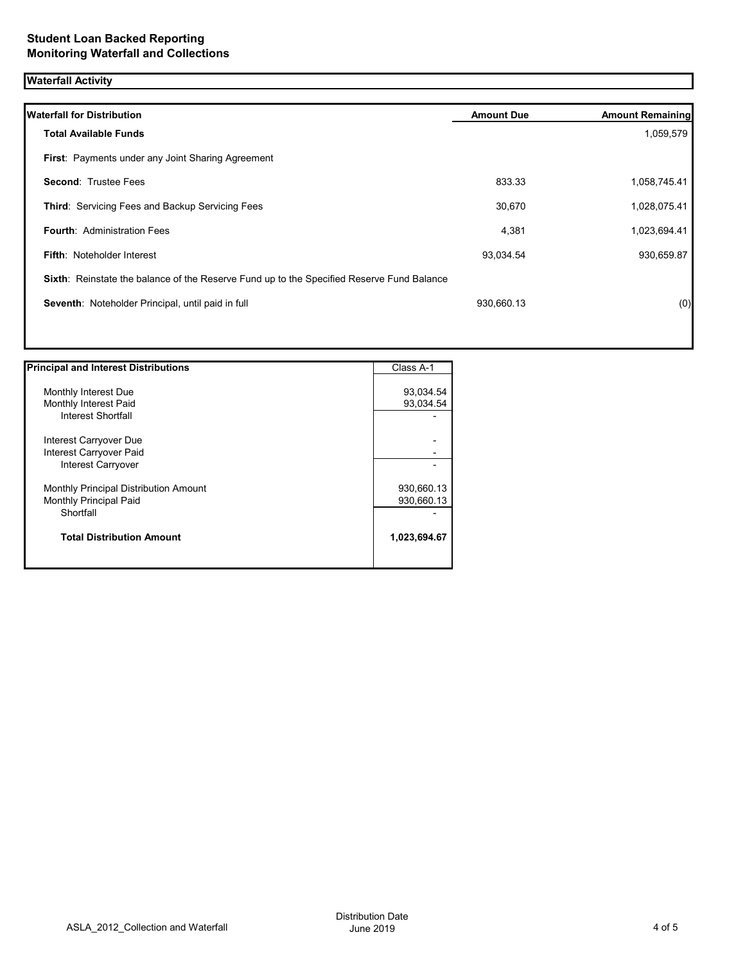# **Waterfall Activity**

| <b>Waterfall for Distribution</b>                                                         | <b>Amount Due</b> | <b>Amount Remaining</b> |
|-------------------------------------------------------------------------------------------|-------------------|-------------------------|
| <b>Total Available Funds</b>                                                              |                   | 1,059,579               |
| First: Payments under any Joint Sharing Agreement                                         |                   |                         |
| <b>Second: Trustee Fees</b>                                                               | 833.33            | 1,058,745.41            |
| Third: Servicing Fees and Backup Servicing Fees                                           | 30,670            | 1,028,075.41            |
| <b>Fourth: Administration Fees</b>                                                        | 4,381             | 1,023,694.41            |
| <b>Fifth: Noteholder Interest</b>                                                         | 93,034.54         | 930,659.87              |
| Sixth: Reinstate the balance of the Reserve Fund up to the Specified Reserve Fund Balance |                   |                         |
| Seventh: Noteholder Principal, until paid in full                                         | 930,660.13        | (0)                     |
|                                                                                           |                   |                         |

| <b>Principal and Interest Distributions</b> | Class A-1    |
|---------------------------------------------|--------------|
|                                             |              |
| Monthly Interest Due                        | 93,034.54    |
| Monthly Interest Paid                       | 93,034.54    |
| Interest Shortfall                          |              |
| Interest Carryover Due                      |              |
| Interest Carryover Paid                     |              |
| Interest Carryover                          |              |
| Monthly Principal Distribution Amount       | 930,660.13   |
| <b>Monthly Principal Paid</b>               | 930,660.13   |
| Shortfall                                   |              |
| <b>Total Distribution Amount</b>            | 1,023,694.67 |
|                                             |              |

Π